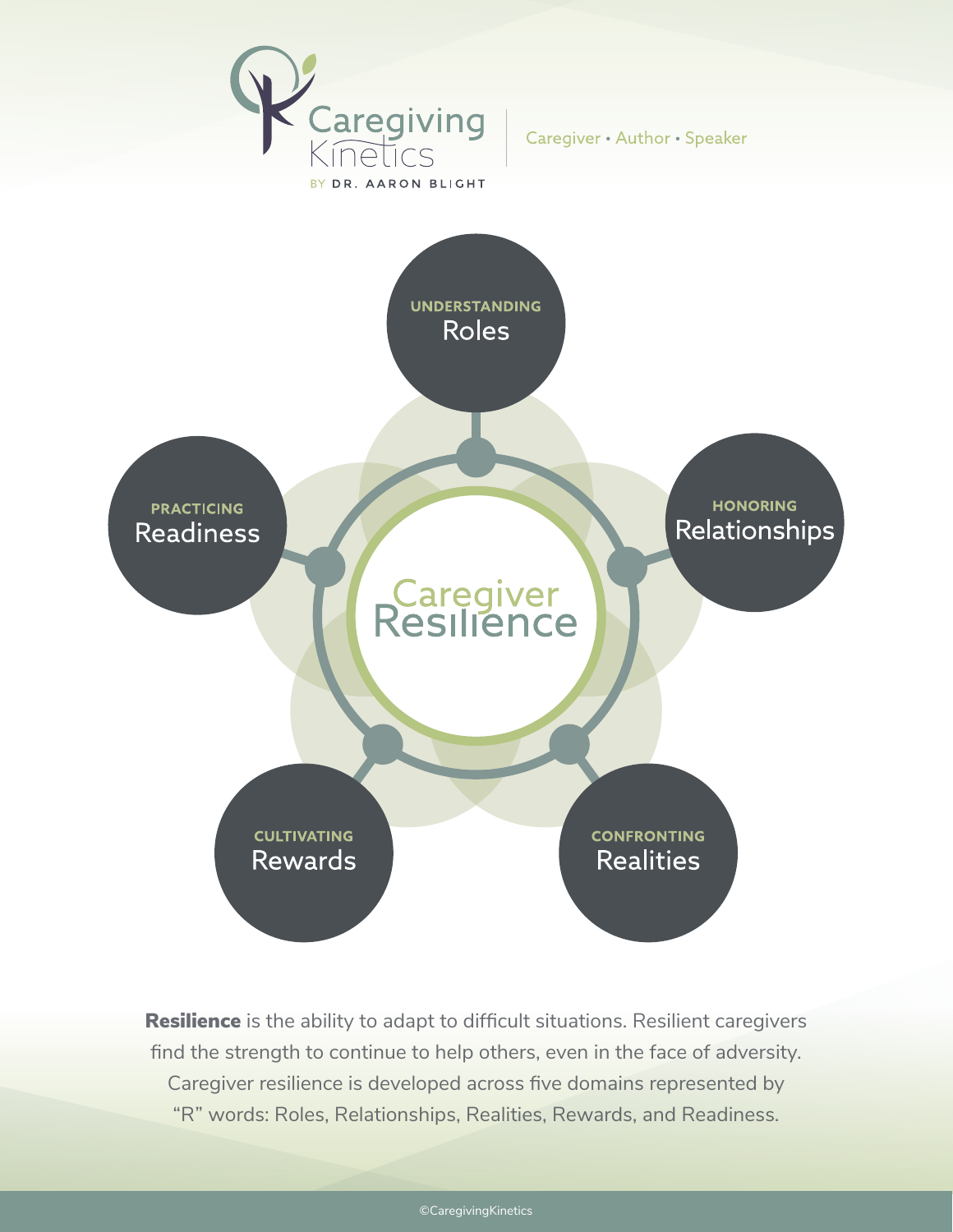

Caregiver • Author • Speaker



Resilience is the ability to adapt to difficult situations. Resilient caregivers find the strength to continue to help others, even in the face of adversity. Caregiver resilience is developed across five domains represented by "R" words: Roles, Relationships, Realities, Rewards, and Readiness.